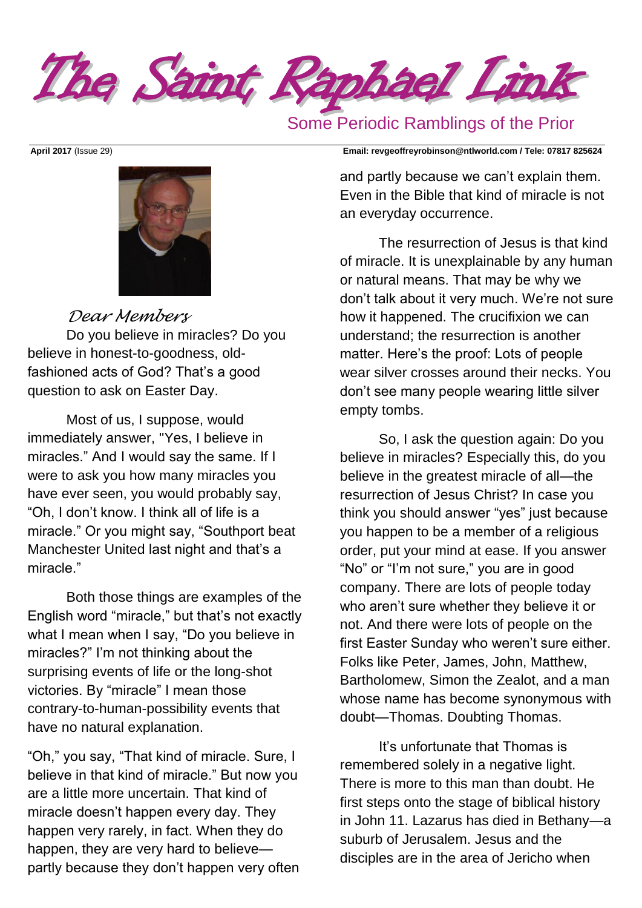The Samt Raphael Link

## Some Periodic Ramblings of the Prior



### *Dear Members*

Do you believe in miracles? Do you believe in honest-to-goodness, oldfashioned acts of God? That's a good question to ask on Easter Day.

Most of us, I suppose, would immediately answer, "Yes, I believe in miracles." And I would say the same. If I were to ask you how many miracles you have ever seen, you would probably say, "Oh, I don't know. I think all of life is a miracle." Or you might say, "Southport beat Manchester United last night and that's a miracle."

Both those things are examples of the English word "miracle," but that's not exactly what I mean when I say, "Do you believe in miracles?" I'm not thinking about the surprising events of life or the long-shot victories. By "miracle" I mean those contrary-to-human-possibility events that have no natural explanation.

"Oh," you say, "That kind of miracle. Sure, I believe in that kind of miracle." But now you are a little more uncertain. That kind of miracle doesn't happen every day. They happen very rarely, in fact. When they do happen, they are very hard to believe partly because they don't happen very often

**April 2017** (Issue 29) **Email: [revgeoffreyrobinson@ntlworld.com](mailto:revgeoffreyrobinson@ntlworld.com) / Tele: 07817 825624**

and partly because we can't explain them. Even in the Bible that kind of miracle is not an everyday occurrence.

The resurrection of Jesus is that kind of miracle. It is unexplainable by any human or natural means. That may be why we don't talk about it very much. We're not sure how it happened. The crucifixion we can understand; the resurrection is another matter. Here's the proof: Lots of people wear silver crosses around their necks. You don't see many people wearing little silver empty tombs.

So, I ask the question again: Do you believe in miracles? Especially this, do you believe in the greatest miracle of all—the resurrection of Jesus Christ? In case you think you should answer "yes" just because you happen to be a member of a religious order, put your mind at ease. If you answer "No" or "I'm not sure," you are in good company. There are lots of people today who aren't sure whether they believe it or not. And there were lots of people on the first Easter Sunday who weren't sure either. Folks like Peter, James, John, Matthew, Bartholomew, Simon the Zealot, and a man whose name has become synonymous with doubt—Thomas. Doubting Thomas.

It's unfortunate that Thomas is remembered solely in a negative light. There is more to this man than doubt. He first steps onto the stage of biblical history in John 11. Lazarus has died in Bethany—a suburb of Jerusalem. Jesus and the disciples are in the area of Jericho when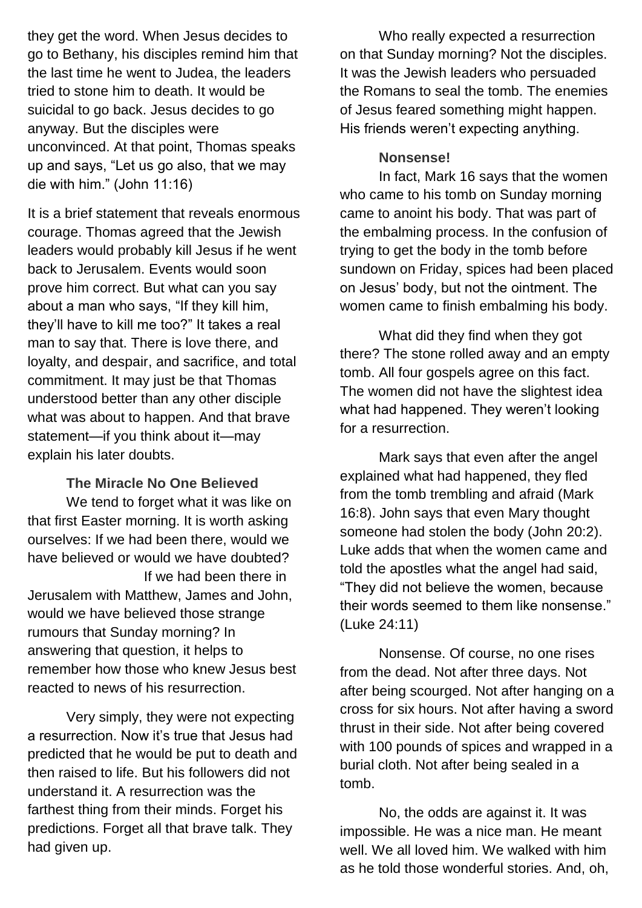they get the word. When Jesus decides to go to Bethany, his disciples remind him that the last time he went to Judea, the leaders tried to stone him to death. It would be suicidal to go back. Jesus decides to go anyway. But the disciples were unconvinced. At that point, Thomas speaks up and says, "Let us go also, that we may die with him." (John 11:16)

It is a brief statement that reveals enormous courage. Thomas agreed that the Jewish leaders would probably kill Jesus if he went back to Jerusalem. Events would soon prove him correct. But what can you say about a man who says, "If they kill him, they'll have to kill me too?" It takes a real man to say that. There is love there, and loyalty, and despair, and sacrifice, and total commitment. It may just be that Thomas understood better than any other disciple what was about to happen. And that brave statement—if you think about it—may explain his later doubts.

#### **The Miracle No One Believed**

We tend to forget what it was like on that first Easter morning. It is worth asking ourselves: If we had been there, would we have believed or would we have doubted? If we had been there in Jerusalem with Matthew, James and John, would we have believed those strange rumours that Sunday morning? In answering that question, it helps to remember how those who knew Jesus best reacted to news of his resurrection.

Very simply, they were not expecting a resurrection. Now it's true that Jesus had predicted that he would be put to death and then raised to life. But his followers did not understand it. A resurrection was the farthest thing from their minds. Forget his predictions. Forget all that brave talk. They had given up.

Who really expected a resurrection on that Sunday morning? Not the disciples. It was the Jewish leaders who persuaded the Romans to seal the tomb. The enemies of Jesus feared something might happen. His friends weren't expecting anything.

#### **Nonsense!**

In fact, Mark 16 says that the women who came to his tomb on Sunday morning came to anoint his body. That was part of the embalming process. In the confusion of trying to get the body in the tomb before sundown on Friday, spices had been placed on Jesus' body, but not the ointment. The women came to finish embalming his body.

What did they find when they got there? The stone rolled away and an empty tomb. All four gospels agree on this fact. The women did not have the slightest idea what had happened. They weren't looking for a resurrection.

Mark says that even after the angel explained what had happened, they fled from the tomb trembling and afraid (Mark 16:8). John says that even Mary thought someone had stolen the body (John 20:2). Luke adds that when the women came and told the apostles what the angel had said, "They did not believe the women, because their words seemed to them like nonsense." (Luke 24:11)

Nonsense. Of course, no one rises from the dead. Not after three days. Not after being scourged. Not after hanging on a cross for six hours. Not after having a sword thrust in their side. Not after being covered with 100 pounds of spices and wrapped in a burial cloth. Not after being sealed in a tomb.

No, the odds are against it. It was impossible. He was a nice man. He meant well. We all loved him. We walked with him as he told those wonderful stories. And, oh,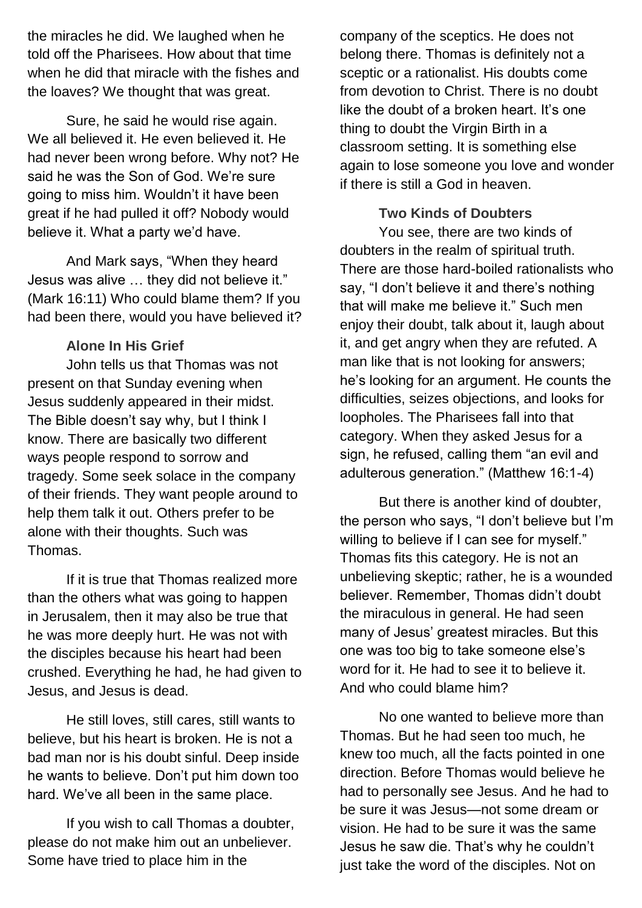the miracles he did. We laughed when he told off the Pharisees. How about that time when he did that miracle with the fishes and the loaves? We thought that was great.

Sure, he said he would rise again. We all believed it. He even believed it. He had never been wrong before. Why not? He said he was the Son of God. We're sure going to miss him. Wouldn't it have been great if he had pulled it off? Nobody would believe it. What a party we'd have.

And Mark says, "When they heard Jesus was alive … they did not believe it." (Mark 16:11) Who could blame them? If you had been there, would you have believed it?

### **Alone In His Grief**

John tells us that Thomas was not present on that Sunday evening when Jesus suddenly appeared in their midst. The Bible doesn't say why, but I think I know. There are basically two different ways people respond to sorrow and tragedy. Some seek solace in the company of their friends. They want people around to help them talk it out. Others prefer to be alone with their thoughts. Such was Thomas.

If it is true that Thomas realized more than the others what was going to happen in Jerusalem, then it may also be true that he was more deeply hurt. He was not with the disciples because his heart had been crushed. Everything he had, he had given to Jesus, and Jesus is dead.

He still loves, still cares, still wants to believe, but his heart is broken. He is not a bad man nor is his doubt sinful. Deep inside he wants to believe. Don't put him down too hard. We've all been in the same place.

If you wish to call Thomas a doubter, please do not make him out an unbeliever. Some have tried to place him in the

company of the sceptics. He does not belong there. Thomas is definitely not a sceptic or a rationalist. His doubts come from devotion to Christ. There is no doubt like the doubt of a broken heart. It's one thing to doubt the Virgin Birth in a classroom setting. It is something else again to lose someone you love and wonder if there is still a God in heaven.

#### **Two Kinds of Doubters**

You see, there are two kinds of doubters in the realm of spiritual truth. There are those hard-boiled rationalists who say, "I don't believe it and there's nothing that will make me believe it." Such men enjoy their doubt, talk about it, laugh about it, and get angry when they are refuted. A man like that is not looking for answers; he's looking for an argument. He counts the difficulties, seizes objections, and looks for loopholes. The Pharisees fall into that category. When they asked Jesus for a sign, he refused, calling them "an evil and adulterous generation." (Matthew 16:1-4)

But there is another kind of doubter, the person who says, "I don't believe but I'm willing to believe if I can see for myself." Thomas fits this category. He is not an unbelieving skeptic; rather, he is a wounded believer. Remember, Thomas didn't doubt the miraculous in general. He had seen many of Jesus' greatest miracles. But this one was too big to take someone else's word for it. He had to see it to believe it. And who could blame him?

No one wanted to believe more than Thomas. But he had seen too much, he knew too much, all the facts pointed in one direction. Before Thomas would believe he had to personally see Jesus. And he had to be sure it was Jesus—not some dream or vision. He had to be sure it was the same Jesus he saw die. That's why he couldn't just take the word of the disciples. Not on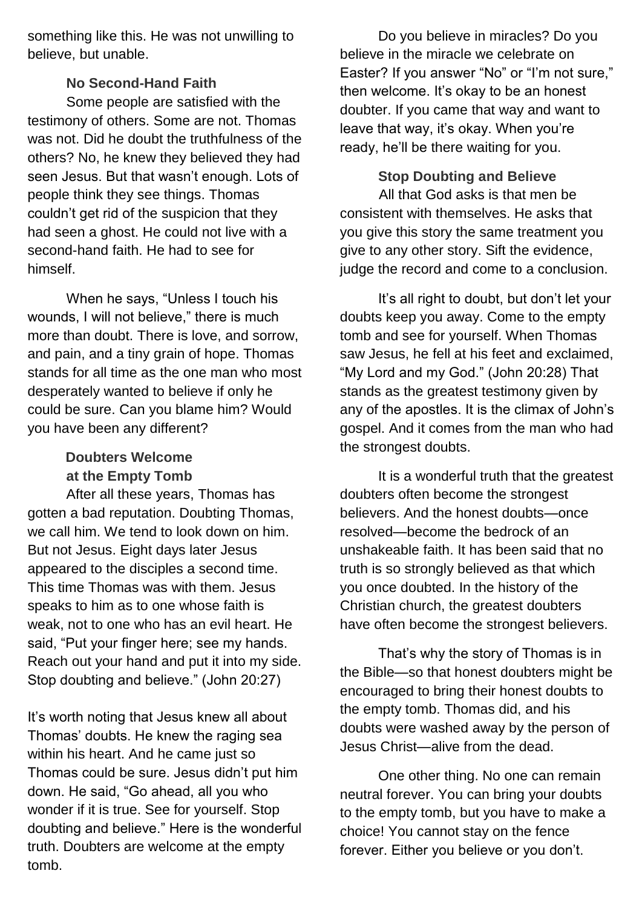something like this. He was not unwilling to believe, but unable.

### **No Second-Hand Faith**

Some people are satisfied with the testimony of others. Some are not. Thomas was not. Did he doubt the truthfulness of the others? No, he knew they believed they had seen Jesus. But that wasn't enough. Lots of people think they see things. Thomas couldn't get rid of the suspicion that they had seen a ghost. He could not live with a second-hand faith. He had to see for himself.

When he says, "Unless I touch his wounds, I will not believe," there is much more than doubt. There is love, and sorrow, and pain, and a tiny grain of hope. Thomas stands for all time as the one man who most desperately wanted to believe if only he could be sure. Can you blame him? Would you have been any different?

## **Doubters Welcome at the Empty Tomb**

After all these years, Thomas has gotten a bad reputation. Doubting Thomas, we call him. We tend to look down on him. But not Jesus. Eight days later Jesus appeared to the disciples a second time. This time Thomas was with them. Jesus speaks to him as to one whose faith is weak, not to one who has an evil heart. He said, "Put your finger here; see my hands. Reach out your hand and put it into my side. Stop doubting and believe." (John 20:27)

It's worth noting that Jesus knew all about Thomas' doubts. He knew the raging sea within his heart. And he came just so Thomas could be sure. Jesus didn't put him down. He said, "Go ahead, all you who wonder if it is true. See for yourself. Stop doubting and believe." Here is the wonderful truth. Doubters are welcome at the empty tomb.

Do you believe in miracles? Do you believe in the miracle we celebrate on Easter? If you answer "No" or "I'm not sure," then welcome. It's okay to be an honest doubter. If you came that way and want to leave that way, it's okay. When you're ready, he'll be there waiting for you.

### **Stop Doubting and Believe**

All that God asks is that men be consistent with themselves. He asks that you give this story the same treatment you give to any other story. Sift the evidence, judge the record and come to a conclusion.

It's all right to doubt, but don't let your doubts keep you away. Come to the empty tomb and see for yourself. When Thomas saw Jesus, he fell at his feet and exclaimed, "My Lord and my God." (John 20:28) That stands as the greatest testimony given by any of the apostles. It is the climax of John's gospel. And it comes from the man who had the strongest doubts.

It is a wonderful truth that the greatest doubters often become the strongest believers. And the honest doubts—once resolved—become the bedrock of an unshakeable faith. It has been said that no truth is so strongly believed as that which you once doubted. In the history of the Christian church, the greatest doubters have often become the strongest believers.

That's why the story of Thomas is in the Bible—so that honest doubters might be encouraged to bring their honest doubts to the empty tomb. Thomas did, and his doubts were washed away by the person of Jesus Christ—alive from the dead.

One other thing. No one can remain neutral forever. You can bring your doubts to the empty tomb, but you have to make a choice! You cannot stay on the fence forever. Either you believe or you don't.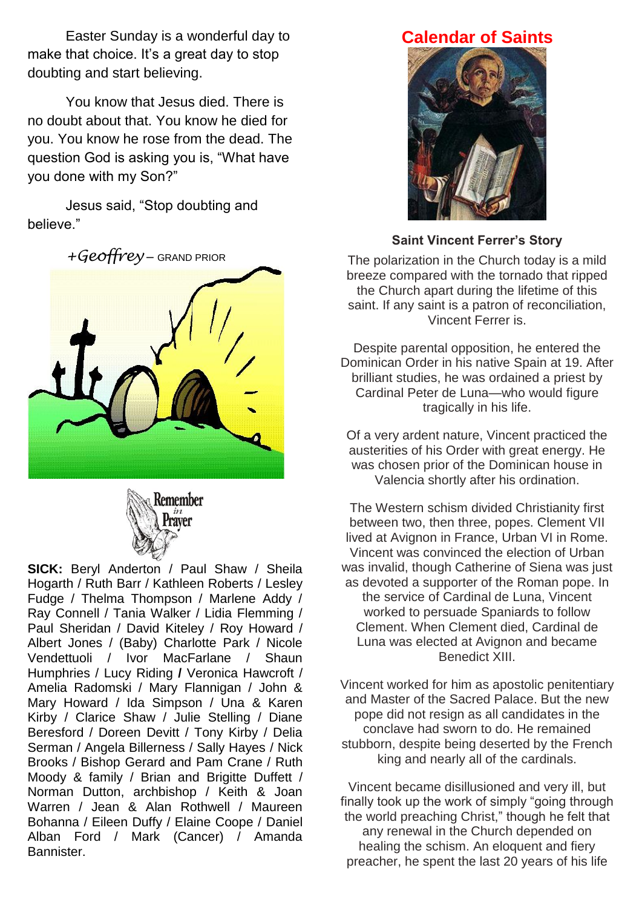Easter Sunday is a wonderful day to make that choice. It's a great day to stop doubting and start believing.

You know that Jesus died. There is no doubt about that. You know he died for you. You know he rose from the dead. The question God is asking you is, "What have you done with my Son?"

Jesus said, "Stop doubting and believe."





**SICK:** Beryl Anderton / Paul Shaw / Sheila Hogarth / Ruth Barr / Kathleen Roberts / Lesley Fudge / Thelma Thompson / Marlene Addy / Ray Connell / Tania Walker / Lidia Flemming / Paul Sheridan / David Kiteley / Roy Howard / Albert Jones / (Baby) Charlotte Park / Nicole Vendettuoli / Ivor MacFarlane / Shaun Humphries / Lucy Riding **/** Veronica Hawcroft / Amelia Radomski / Mary Flannigan / John & Mary Howard / Ida Simpson / Una & Karen Kirby / Clarice Shaw / Julie Stelling / Diane Beresford / Doreen Devitt / Tony Kirby / Delia Serman / Angela Billerness / Sally Hayes / Nick Brooks / Bishop Gerard and Pam Crane / Ruth Moody & family / Brian and Brigitte Duffett / Norman Dutton, archbishop / Keith & Joan Warren / Jean & Alan Rothwell / Maureen Bohanna / Eileen Duffy / Elaine Coope / Daniel Alban Ford / Mark (Cancer) / Amanda Bannister.

# **Calendar of Saints**



**Saint Vincent Ferrer's Story**

The polarization in the Church today is a mild breeze compared with the tornado that ripped the Church apart during the lifetime of this saint. If any saint is a patron of reconciliation, Vincent Ferrer is.

Despite parental opposition, he entered the Dominican Order in his native Spain at 19. After brilliant studies, he was ordained a priest by Cardinal Peter de Luna—who would figure tragically in his life.

Of a very ardent nature, Vincent practiced the austerities of his Order with great energy. He was chosen prior of the Dominican house in Valencia shortly after his ordination.

The Western schism divided Christianity first between two, then three, popes. Clement VII lived at Avignon in France, Urban VI in Rome. Vincent was convinced the election of Urban was invalid, though Catherine of Siena was just as devoted a supporter of the Roman pope. In the service of Cardinal de Luna, Vincent worked to persuade Spaniards to follow Clement. When Clement died, Cardinal de Luna was elected at Avignon and became Benedict XIII.

Vincent worked for him as apostolic penitentiary and Master of the Sacred Palace. But the new pope did not resign as all candidates in the conclave had sworn to do. He remained stubborn, despite being deserted by the French king and nearly all of the cardinals.

Vincent became disillusioned and very ill, but finally took up the work of simply "going through the world preaching Christ," though he felt that any renewal in the Church depended on healing the schism. An eloquent and fiery preacher, he spent the last 20 years of his life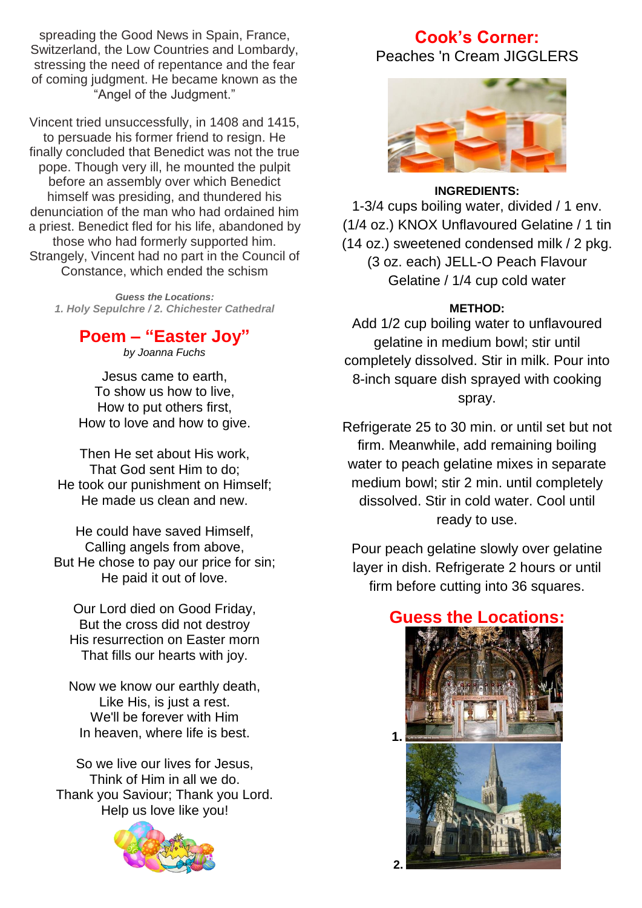spreading the Good News in Spain, France, Switzerland, the Low Countries and Lombardy, stressing the need of repentance and the fear of coming judgment. He became known as the "Angel of the Judgment."

Vincent tried unsuccessfully, in 1408 and 1415, to persuade his former friend to resign. He finally concluded that Benedict was not the true pope. Though very ill, he mounted the pulpit before an assembly over which Benedict himself was presiding, and thundered his denunciation of the man who had ordained him a priest. Benedict fled for his life, abandoned by those who had formerly supported him. Strangely, Vincent had no part in the Council of Constance, which ended the schism

*Guess the Locations: 1. Holy Sepulchre / 2. Chichester Cathedral*

# **Poem – "Easter Joy"**

*by Joanna Fuchs*

Jesus came to earth, To show us how to live, How to put others first, How to love and how to give.

Then He set about His work, That God sent Him to do; He took our punishment on Himself; He made us clean and new.

He could have saved Himself, Calling angels from above, But He chose to pay our price for sin; He paid it out of love.

Our Lord died on Good Friday, But the cross did not destroy His resurrection on Easter morn That fills our hearts with joy.

Now we know our earthly death, Like His, is just a rest. We'll be forever with Him In heaven, where life is best.

So we live our lives for Jesus, Think of Him in all we do. Thank you Saviour; Thank you Lord. Help us love like you!



## **Cook's Corner:** Peaches 'n Cream JIGGLERS



#### **INGREDIENTS:**

1-3/4 cups boiling water, divided / 1 env. (1/4 oz.) KNOX Unflavoured Gelatine / 1 tin (14 oz.) sweetened condensed milk / 2 pkg. (3 oz. each) JELL-O Peach Flavour Gelatine / 1/4 cup cold water

### **METHOD:**

Add 1/2 cup boiling water to unflavoured gelatine in medium bowl; stir until completely dissolved. Stir in milk. Pour into 8-inch square dish sprayed with cooking spray.

Refrigerate 25 to 30 min. or until set but not firm. Meanwhile, add remaining boiling water to peach gelatine mixes in separate medium bowl; stir 2 min. until completely dissolved. Stir in cold water. Cool until ready to use.

Pour peach gelatine slowly over gelatine layer in dish. Refrigerate 2 hours or until firm before cutting into 36 squares.

# **Guess the Locations:**